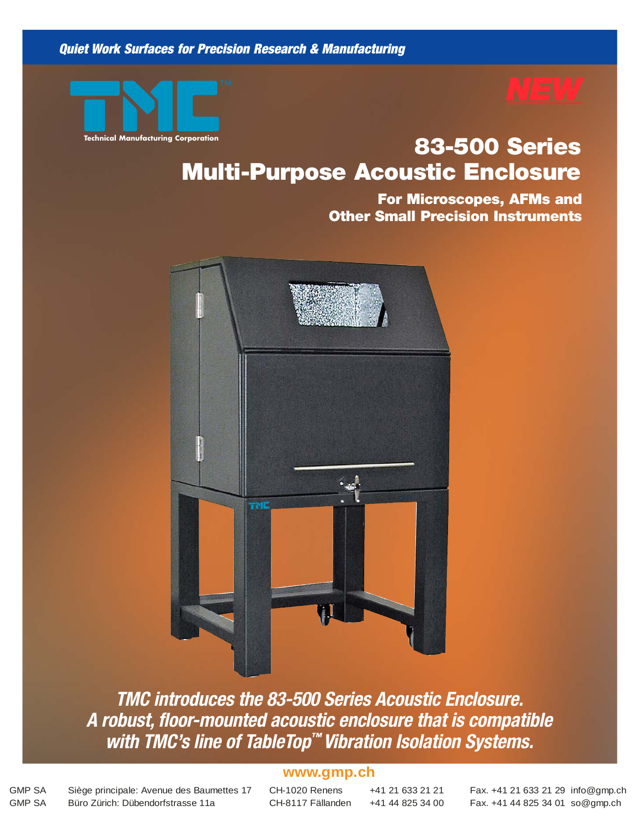**Quiet Work Surfaces for Precision Research & Manufacturing**



# **Technical Manufacturing Corporation 83-500 Series Multi-Purpose Acoustic Enclosure**

**For Microscopes, AFMs and Other Small Precision Instruments**



**TMC introduces the 83-500 Series Acoustic Enclosure. A robust, floor-mounted acoustic enclosure that is compatible with TMC's line of TableTop™ Vibration Isolation Systems.**

#### **Technical Manufacturing Corporation** • 978-532-6330 • 800-542-9725 (Toll Free) • Fax: 978-531-8682 • sales@techmfg.com • www.techmfg.com **www.gmp.ch**

GMP SA Siège principale: Avenue des Baumettes 17 CH-1020 Renens +41 21 633 21 21 Fax. +41 21 633 21 29 info@gmp.ch GMP SA Büro Zürich: Dübendorfstrasse 11a CH-8117 Fällanden +41 44 825 34 00 Fax. +41 44 825 34 01 so@gmp.ch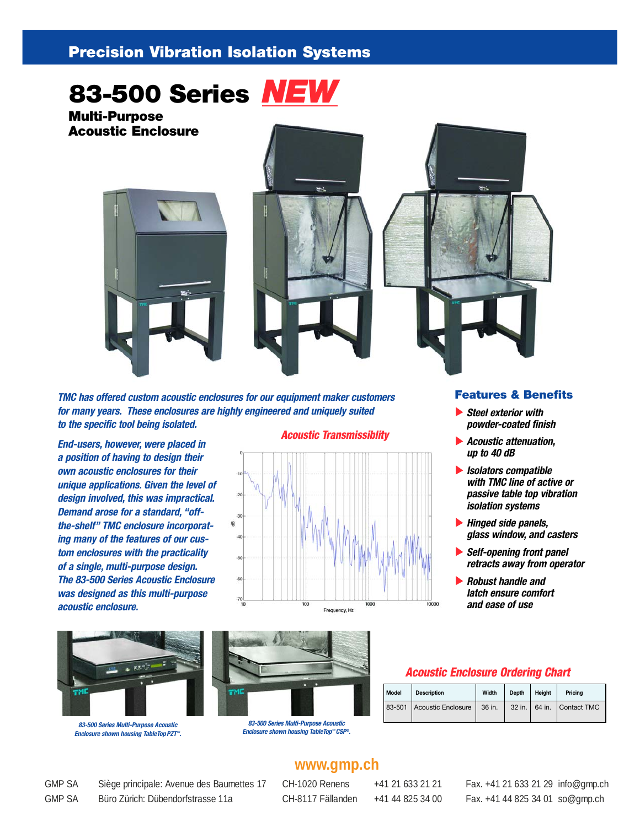#### **Precision Vibration Isolation Systems**



**Multi-Purpose Acoustic Enclosure**



**TMC has offered custom acoustic enclosures for our equipment maker customers for many years. These enclosures are highly engineered and uniquely suited to the specific tool being isolated.**

**End-users, however, were placed in a position of having to design their own acoustic enclosures for their unique applications. Given the level of design involved, this was impractical. Demand arose for a standard, "offthe-shelf" TMC enclosure incorporating many of the features of our custom enclosures with the practicality of a single, multi-purpose design. The 83-500 Series Acoustic Enclosure was designed as this multi-purpose acoustic enclosure.**



**83-500 Series Multi-Purpose Acoustic Enclosure shown housing TableTopPZT™.**







- **Steel exterior with powder-coated finish**
- **Acoustic attenuation, up to 40 dB**
- **Isolators compatible with TMC line of active or passive table top vibration isolation systems**
- **Hinged side panels, glass window, and casters**
- **Self-opening front panel retracts away from operator**
- **Robust handle and latch ensure comfort and ease of use**



**Enclosure shown housing TableTop™ CSP®.**

#### **Acoustic Enclosure Ordering Chart**

| Model | <b>Description</b>        | Width  | Depth | Height | Pricina                       |
|-------|---------------------------|--------|-------|--------|-------------------------------|
|       | 83-501 Acoustic Enclosure | 36 in. |       |        | 32 in.   64 in.   Contact TMC |

### **www.gmp.ch**

GMP SA Siège principale: Avenue des Baumettes 17 CH-1020 Renens +41 21 633 21 21 Fax. +41 21 633 21 29 info@gmp.ch GMP SA Büro Zürich: Dübendorfstrasse 11a CH-8117 Fällanden +41 44 825 34 00 Fax. +41 44 825 34 01 so@gmp.ch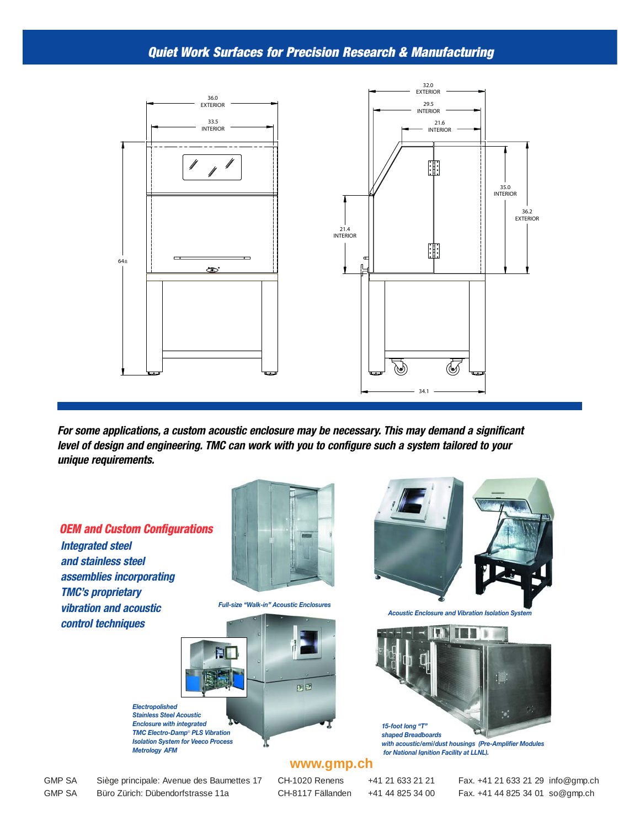#### **Quiet Work Surfaces for Precision Research & Manufacturing**



**For some applications, a custom acoustic enclosure may be necessary. This may demand a significant level of design and engineering. TMC can work with you to configure such a system tailored to your unique requirements.**

#### **OEM and Custom Configurations Integrated steel and stainless steel assemblies incorporating TMC's proprietary vibration and acoustic control techniques**



*Full-size "Walk-in" Acoustic Enclosures*





*Acoustic Enclosure and Vibration Isolation System*



*with acoustic/emi/dust housings (Pre-Amplifier Modules for National Ignition Facility at LLNL).*

#### **www.gmp.ch**

*Enclosure with integrated TMC Electro-Damp*® *PLS Vibration Isolation System for Veeco Process Metrology AFM*

GMP SA Siège principale: Avenue des Baumettes 17 CH-1020 Renens +41 21 633 21 21 Fax. +41 21 633 21 29 info@gmp.ch GMP SA Büro Zürich: Dübendorfstrasse 11a CH-8117 Fällanden +41 44 825 34 00 Fax. +41 44 825 34 01 so@gmp.ch

*Electropolished*